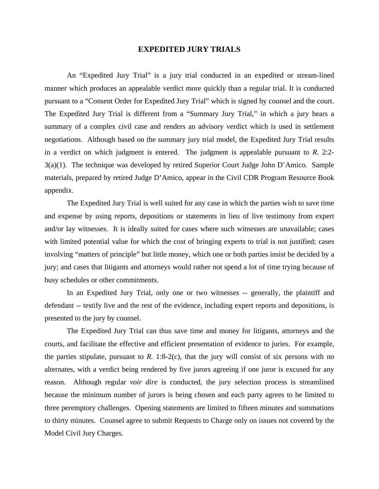## **EXPEDITED JURY TRIALS**

 An "Expedited Jury Trial" is a jury trial conducted in an expedited or stream-lined manner which produces an appealable verdict more quickly than a regular trial. It is conducted pursuant to a "Consent Order for Expedited Jury Trial" which is signed by counsel and the court. The Expedited Jury Trial is different from a "Summary Jury Trial," in which a jury hears a summary of a complex civil case and renders an advisory verdict which is used in settlement negotiations. Although based on the summary jury trial model, the Expedited Jury Trial results in a verdict on which judgment is entered. The judgment is appealable pursuant to *R.* 2:2- 3(a)(1). The technique was developed by retired Superior Court Judge John D'Amico. Sample materials, prepared by retired Judge D'Amico, appear in the Civil CDR Program Resource Book appendix.

 The Expedited Jury Trial is well suited for any case in which the parties wish to save time and expense by using reports, depositions or statements in lieu of live testimony from expert and/or lay witnesses. It is ideally suited for cases where such witnesses are unavailable; cases with limited potential value for which the cost of bringing experts to trial is not justified; cases involving "matters of principle" but little money, which one or both parties insist be decided by a jury; and cases that litigants and attorneys would rather not spend a lot of time trying because of busy schedules or other commitments.

 In an Expedited Jury Trial, only one or two witnesses -- generally, the plaintiff and defendant -- testify live and the rest of the evidence, including expert reports and depositions, is presented to the jury by counsel.

 The Expedited Jury Trial can thus save time and money for litigants, attorneys and the courts, and facilitate the effective and efficient presentation of evidence to juries. For example, the parties stipulate, pursuant to  $R$ . 1:8-2(c), that the jury will consist of six persons with no alternates, with a verdict being rendered by five jurors agreeing if one juror is excused for any reason. Although regular *voir dire* is conducted, the jury selection process is streamlined because the minimum number of jurors is being chosen and each party agrees to be limited to three peremptory challenges. Opening statements are limited to fifteen minutes and summations to thirty minutes. Counsel agree to submit Requests to Charge only on issues not covered by the Model Civil Jury Charges.